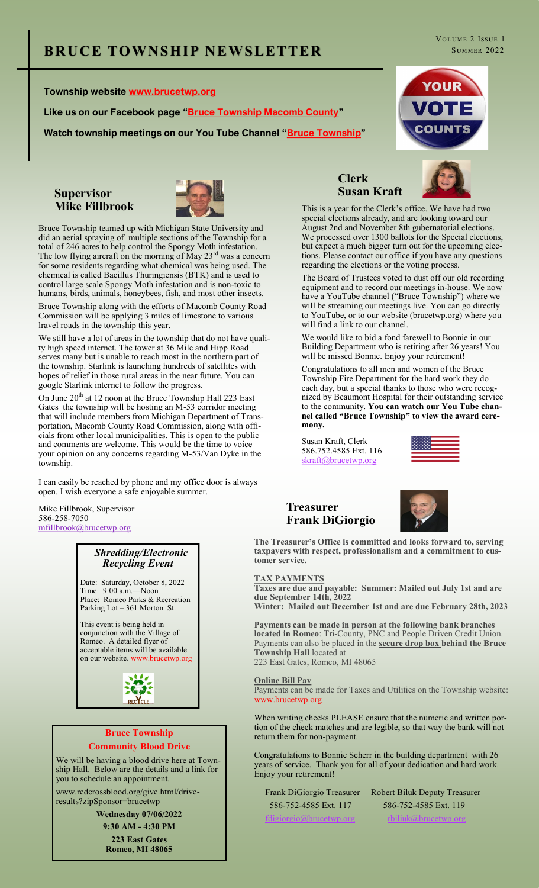#### **Township website www.brucetwp.org**

**Like us on our Facebook page "Bruce Township Macomb County"**

**Watch township meetings on our You Tube Channel "Bruce Township"**





Bruce Township teamed up with Michigan State University and did an aerial spraying of multiple sections of the Township for a total of 246 acres to help control the Spongy Moth infestation. The low flying aircraft on the morning of May  $23<sup>rd</sup>$  was a concern for some residents regarding what chemical was being used. The chemical is called Bacillus Thuringiensis (BTK) and is used to control large scale Spongy Moth infestation and is non-toxic to humans, birds, animals, honeybees, fish, and most other insects.

Bruce Township along with the efforts of Macomb County Road Commission will be applying 3 miles of limestone to various lravel roads in the township this year.

We still have a lot of areas in the township that do not have quality high speed internet. The tower at 36 Mile and Hipp Road serves many but is unable to reach most in the northern part of the township. Starlink is launching hundreds of satellites with hopes of relief in those rural areas in the near future. You can google Starlink internet to follow the progress.

On June  $20^{th}$  at 12 noon at the Bruce Township Hall 223 East Gates the township will be hosting an M-53 corridor meeting that will include members from Michigan Department of Transportation, Macomb County Road Commission, along with officials from other local municipalities. This is open to the public and comments are welcome. This would be the time to voice your opinion on any concerns regarding M-53/Van Dyke in the township.

I can easily be reached by phone and my office door is always open. I wish everyone a safe enjoyable summer.

Mike Fillbrook, Supervisor 586-258-7050 mfillbrook@brucetwp.org

#### *Shredding/Electronic Recycling Event*

Date: Saturday, October 8, 2022 Time: 9:00 a.m.—Noon Place: Romeo Parks & Recreation Parking Lot – 361 Morton St.

This event is being held in conjunction with the Village of Romeo. A detailed flyer of acceptable items will be available on our website. www.brucetwp.org



#### **Bruce Township Community Blood Drive**

We will be having a blood drive here at Township Hall. Below are the details and a link for you to schedule an appointment.

www.redcrossblood.org/give.html/driveresults?zipSponsor=brucetwp

> **Wednesday 07/06/2022 9:30 AM - 4:30 PM**

**223 East Gates Romeo, MI 48065**

## **Clerk Susan Kraft**



This is a year for the Clerk's office. We have had two special elections already, and are looking toward our August 2nd and November 8th gubernatorial elections. We processed over 1300 ballots for the Special elections, but expect a much bigger turn out for the upcoming elections. Please contact our office if you have any questions regarding the elections or the voting process.

The Board of Trustees voted to dust off our old recording equipment and to record our meetings in-house. We now have a YouTube channel ("Bruce Township") where we will be streaming our meetings live. You can go directly to YouTube, or to our website (brucetwp.org) where you will find a link to our channel.

We would like to bid a fond farewell to Bonnie in our Building Department who is retiring after 26 years! You will be missed Bonnie. Enjoy your retirement!

Congratulations to all men and women of the Bruce Township Fire Department for the hard work they do each day, but a special thanks to those who were recognized by Beaumont Hospital for their outstanding service to the community. **You can watch our You Tube channel called "Bruce Township" to view the award ceremony.**

Susan Kraft, Clerk 586.752.4585 Ext. 116 [skraft@brucetwp.org](mailto:skraft@brucetwp.org)



#### **Treasurer Frank DiGiorgio**



**The Treasurer's Office is committed and looks forward to, serving taxpayers with respect, professionalism and a commitment to customer service.** 

#### **TAX PAYMENTS**

**Taxes are due and payable: Summer: Mailed out July 1st and are due September 14th, 2022 Winter: Mailed out December 1st and are due February 28th, 2023**

**Payments can be made in person at the following bank branches located in Romeo**: Tri-County, PNC and People Driven Credit Union. Payments can also be placed in the **secure drop box behind the Bruce Township Hall** located at 223 East Gates, Romeo, MI 48065

**Online Bill Pay**

Payments can be made for Taxes and Utilities on the Township website: www.brucetwp.org

When writing checks **PLEASE** ensure that the numeric and written portion of the check matches and are legible, so that way the bank will not return them for non-payment.

Congratulations to Bonnie Scherr in the building department with 26 years of service. Thank you for all of your dedication and hard work. Enjoy your retirement!

 Frank DiGiorgio Treasurer Robert Biluk Deputy Treasurer 586-752-4585 Ext. 117 586-752-4585 Ext. 119 [fdigiorgio@brucetwp.org](mailto:fdigiorgio@brucetwp.org)  $r$  [rbiliuk@brucetwp.org](mailto:rbiliuk@brucetwp.org)